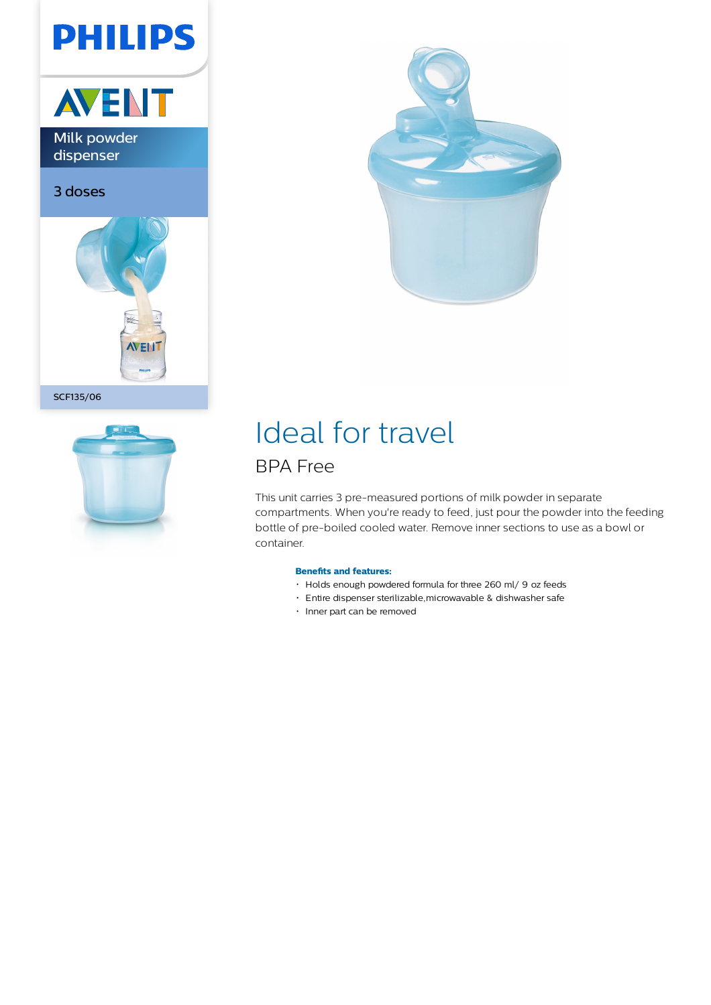# **PHILIPS**



Milk powder dispenser

3 doses



SCF135/06





## Ideal for travel

### BPA Free

This unit carries 3 pre-measured portions of milk powder in separate compartments. When you're ready to feed, just pour the powder into the feeding bottle of pre-boiled cooled water. Remove inner sections to use as a bowl or container.

### **Benefits and features:**

- Holds enough powdered formula for three 260 ml/ 9 oz feeds
- Entire dispenser sterilizable,microwavable & dishwasher safe
- Inner part can be removed